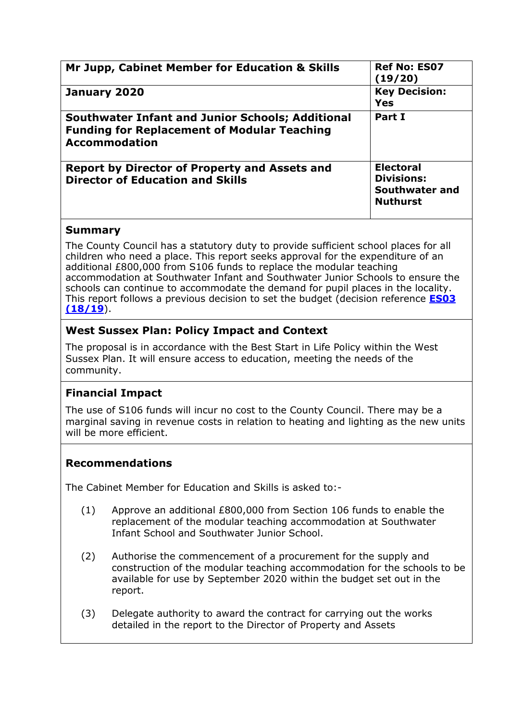| Mr Jupp, Cabinet Member for Education & Skills                                                                                        | <b>Ref No: ES07</b><br>(19/20)                                             |  |  |
|---------------------------------------------------------------------------------------------------------------------------------------|----------------------------------------------------------------------------|--|--|
| January 2020                                                                                                                          | <b>Key Decision:</b><br><b>Yes</b>                                         |  |  |
| <b>Southwater Infant and Junior Schools; Additional</b><br><b>Funding for Replacement of Modular Teaching</b><br><b>Accommodation</b> | Part I                                                                     |  |  |
| <b>Report by Director of Property and Assets and</b><br><b>Director of Education and Skills</b>                                       | <b>Electoral</b><br><b>Divisions:</b><br>Southwater and<br><b>Nuthurst</b> |  |  |

## **Summary**

The County Council has a statutory duty to provide sufficient school places for all children who need a place. This report seeks approval for the expenditure of an additional £800,000 from S106 funds to replace the modular teaching accommodation at Southwater Infant and Southwater Junior Schools to ensure the schools can continue to accommodate the demand for pupil places in the locality. This report follows a previous decision to set the budget (decision reference **[ES03](http://www2.westsussex.gov.uk/ds/mis/200618es3.pdf)  [\(18/19](http://www2.westsussex.gov.uk/ds/mis/200618es3.pdf)**).

# **West Sussex Plan: Policy Impact and Context**

The proposal is in accordance with the Best Start in Life Policy within the West Sussex Plan. It will ensure access to education, meeting the needs of the community.

# **Financial Impact**

The use of S106 funds will incur no cost to the County Council. There may be a marginal saving in revenue costs in relation to heating and lighting as the new units will be more efficient.

# **Recommendations**

The Cabinet Member for Education and Skills is asked to:-

- (1) Approve an additional £800,000 from Section 106 funds to enable the replacement of the modular teaching accommodation at Southwater Infant School and Southwater Junior School.
- (2) Authorise the commencement of a procurement for the supply and construction of the modular teaching accommodation for the schools to be available for use by September 2020 within the budget set out in the report.
- (3) Delegate authority to award the contract for carrying out the works detailed in the report to the Director of Property and Assets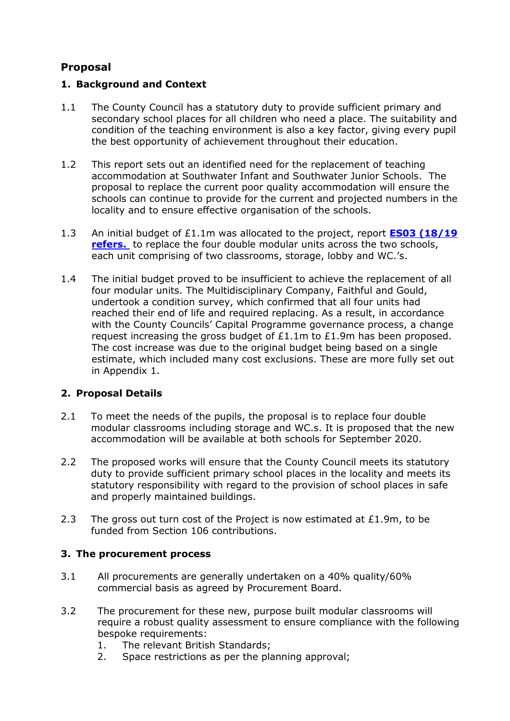# **Proposal**

## **1. Background and Context**

- 1.1 The County Council has a statutory duty to provide sufficient primary and secondary school places for all children who need a place. The suitability and condition of the teaching environment is also a key factor, giving every pupil the best opportunity of achievement throughout their education.
- 1.2 This report sets out an identified need for the replacement of teaching accommodation at Southwater Infant and Southwater Junior Schools. The proposal to replace the current poor quality accommodation will ensure the schools can continue to provide for the current and projected numbers in the locality and to ensure effective organisation of the schools.
- 1.3 An initial budget of £1.1m was allocated to the project, report **[ES03 \(18/19](http://www2.westsussex.gov.uk/ds/mis/200618es3.pdf) refers.** to replace the four double modular units across the two schools, each unit comprising of two classrooms, storage, lobby and WC.'s.
- 1.4 The initial budget proved to be insufficient to achieve the replacement of all four modular units. The Multidisciplinary Company, Faithful and Gould, undertook a condition survey, which confirmed that all four units had reached their end of life and required replacing. As a result, in accordance with the County Councils' Capital Programme governance process, a change request increasing the gross budget of £1.1m to £1.9m has been proposed. The cost increase was due to the original budget being based on a single estimate, which included many cost exclusions. These are more fully set out in Appendix 1.

# **2. Proposal Details**

- 2.1 To meet the needs of the pupils, the proposal is to replace four double modular classrooms including storage and WC.s. It is proposed that the new accommodation will be available at both schools for September 2020.
- 2.2 The proposed works will ensure that the County Council meets its statutory duty to provide sufficient primary school places in the locality and meets its statutory responsibility with regard to the provision of school places in safe and properly maintained buildings.
- 2.3 The gross out turn cost of the Project is now estimated at £1.9m, to be funded from Section 106 contributions.

## **3. The procurement process**

- 3.1 All procurements are generally undertaken on a 40% quality/60% commercial basis as agreed by Procurement Board.
- 3.2 The procurement for these new, purpose built modular classrooms will require a robust quality assessment to ensure compliance with the following bespoke requirements:
	- 1. The relevant British Standards;
	- 2. Space restrictions as per the planning approval;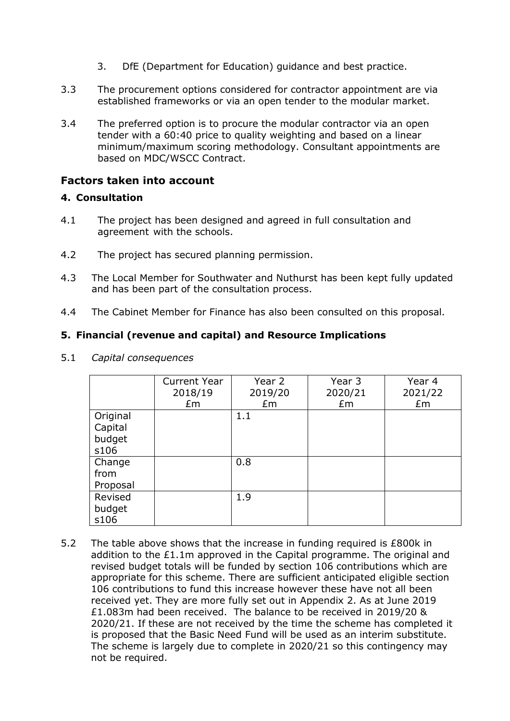- 3. DfE (Department for Education) guidance and best practice.
- 3.3 The procurement options considered for contractor appointment are via established frameworks or via an open tender to the modular market.
- 3.4 The preferred option is to procure the modular contractor via an open tender with a 60:40 price to quality weighting and based on a linear minimum/maximum scoring methodology. Consultant appointments are based on MDC/WSCC Contract.

#### **Factors taken into account**

#### **4. Consultation**

- 4.1 The project has been designed and agreed in full consultation and agreement with the schools.
- 4.2 The project has secured planning permission.
- 4.3 The Local Member for Southwater and Nuthurst has been kept fully updated and has been part of the consultation process.
- 4.4 The Cabinet Member for Finance has also been consulted on this proposal.

#### **5. Financial (revenue and capital) and Resource Implications**

|          | <b>Current Year</b> | Year 2  | Year 3  | Year 4  |
|----------|---------------------|---------|---------|---------|
|          | 2018/19             | 2019/20 | 2020/21 | 2021/22 |
|          | £m                  | £m      | £m      | Em      |
| Original |                     | 1.1     |         |         |
| Capital  |                     |         |         |         |
| budget   |                     |         |         |         |
| s106     |                     |         |         |         |
| Change   |                     | 0.8     |         |         |
| from     |                     |         |         |         |
| Proposal |                     |         |         |         |
| Revised  |                     | 1.9     |         |         |
| budget   |                     |         |         |         |
| s106     |                     |         |         |         |

5.1 *Capital consequences*

5.2 The table above shows that the increase in funding required is £800k in addition to the £1.1m approved in the Capital programme. The original and revised budget totals will be funded by section 106 contributions which are appropriate for this scheme. There are sufficient anticipated eligible section 106 contributions to fund this increase however these have not all been received yet. They are more fully set out in Appendix 2. As at June 2019 £1.083m had been received. The balance to be received in 2019/20 & 2020/21. If these are not received by the time the scheme has completed it is proposed that the Basic Need Fund will be used as an interim substitute. The scheme is largely due to complete in 2020/21 so this contingency may not be required.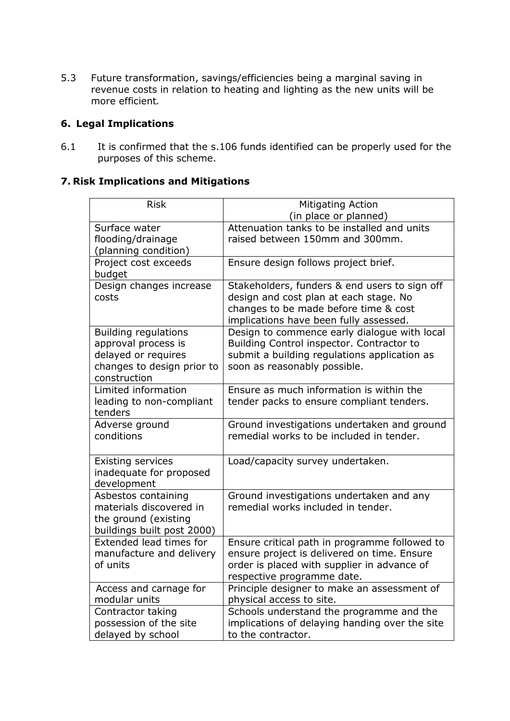5.3 Future transformation, savings/efficiencies being a marginal saving in revenue costs in relation to heating and lighting as the new units will be more efficient*.*

## **6. Legal Implications**

6.1 It is confirmed that the s.106 funds identified can be properly used for the purposes of this scheme.

#### **7. Risk Implications and Mitigations**

| <b>Risk</b>                                       | Mitigating Action                                                                          |  |  |  |
|---------------------------------------------------|--------------------------------------------------------------------------------------------|--|--|--|
|                                                   | (in place or planned)                                                                      |  |  |  |
| Surface water                                     | Attenuation tanks to be installed and units                                                |  |  |  |
| flooding/drainage                                 | raised between 150mm and 300mm.                                                            |  |  |  |
| (planning condition)                              |                                                                                            |  |  |  |
| Project cost exceeds                              | Ensure design follows project brief.                                                       |  |  |  |
| budget                                            |                                                                                            |  |  |  |
| Design changes increase                           | Stakeholders, funders & end users to sign off                                              |  |  |  |
| costs                                             | design and cost plan at each stage. No                                                     |  |  |  |
|                                                   | changes to be made before time & cost                                                      |  |  |  |
|                                                   | implications have been fully assessed.                                                     |  |  |  |
| <b>Building regulations</b>                       | Design to commence early dialogue with local                                               |  |  |  |
| approval process is                               | Building Control inspector. Contractor to                                                  |  |  |  |
| delayed or requires<br>changes to design prior to | submit a building regulations application as<br>soon as reasonably possible.               |  |  |  |
| construction                                      |                                                                                            |  |  |  |
| Limited information                               | Ensure as much information is within the                                                   |  |  |  |
| leading to non-compliant                          | tender packs to ensure compliant tenders.                                                  |  |  |  |
| tenders                                           |                                                                                            |  |  |  |
| Adverse ground                                    | Ground investigations undertaken and ground                                                |  |  |  |
| conditions                                        | remedial works to be included in tender.                                                   |  |  |  |
|                                                   |                                                                                            |  |  |  |
| <b>Existing services</b>                          | Load/capacity survey undertaken.                                                           |  |  |  |
| inadequate for proposed                           |                                                                                            |  |  |  |
| development                                       |                                                                                            |  |  |  |
| Asbestos containing                               | Ground investigations undertaken and any                                                   |  |  |  |
| materials discovered in                           | remedial works included in tender.                                                         |  |  |  |
| the ground (existing                              |                                                                                            |  |  |  |
| buildings built post 2000)                        |                                                                                            |  |  |  |
| Extended lead times for                           | Ensure critical path in programme followed to                                              |  |  |  |
| manufacture and delivery                          | ensure project is delivered on time. Ensure                                                |  |  |  |
| of units                                          | order is placed with supplier in advance of                                                |  |  |  |
|                                                   | respective programme date.                                                                 |  |  |  |
| Access and carnage for                            | Principle designer to make an assessment of                                                |  |  |  |
| modular units                                     | physical access to site.                                                                   |  |  |  |
| Contractor taking<br>possession of the site       | Schools understand the programme and the<br>implications of delaying handing over the site |  |  |  |
| delayed by school                                 | to the contractor.                                                                         |  |  |  |
|                                                   |                                                                                            |  |  |  |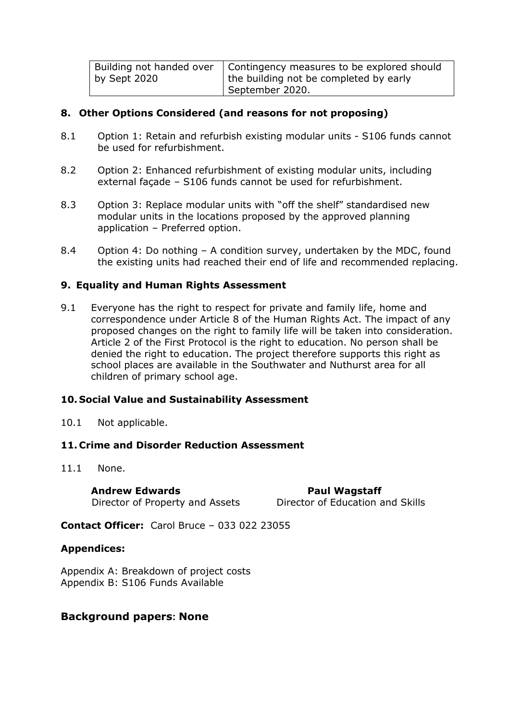| by Sept 2020 | Building not handed over   Contingency measures to be explored should<br>the building not be completed by early |
|--------------|-----------------------------------------------------------------------------------------------------------------|
|              | September 2020.                                                                                                 |

#### **8. Other Options Considered (and reasons for not proposing)**

- 8.1 Option 1: Retain and refurbish existing modular units S106 funds cannot be used for refurbishment.
- 8.2 Option 2: Enhanced refurbishment of existing modular units, including external façade – S106 funds cannot be used for refurbishment.
- 8.3 Option 3: Replace modular units with "off the shelf" standardised new modular units in the locations proposed by the approved planning application – Preferred option.
- 8.4 Option 4: Do nothing A condition survey, undertaken by the MDC, found the existing units had reached their end of life and recommended replacing.

#### **9. Equality and Human Rights Assessment**

9.1 Everyone has the right to respect for private and family life, home and correspondence under Article 8 of the Human Rights Act. The impact of any proposed changes on the right to family life will be taken into consideration. Article 2 of the First Protocol is the right to education. No person shall be denied the right to education. The project therefore supports this right as school places are available in the Southwater and Nuthurst area for all children of primary school age.

#### **10. Social Value and Sustainability Assessment**

10.1 Not applicable.

#### **11. Crime and Disorder Reduction Assessment**

11.1 None.

**Andrew Edwards Paul Wagstaff** Director of Property and Assets Director of Education and Skills

**Contact Officer:** Carol Bruce – 033 022 23055

#### **Appendices:**

Appendix A: Breakdown of project costs Appendix B: S106 Funds Available

#### **Background papers: None**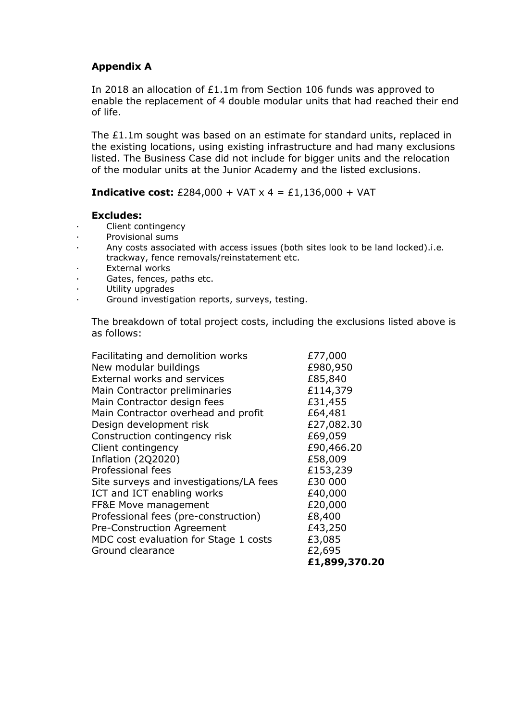#### **Appendix A**

In 2018 an allocation of £1.1m from Section 106 funds was approved to enable the replacement of 4 double modular units that had reached their end of life.

The £1.1m sought was based on an estimate for standard units, replaced in the existing locations, using existing infrastructure and had many exclusions listed. The Business Case did not include for bigger units and the relocation of the modular units at the Junior Academy and the listed exclusions.

**Indicative cost:**  $£284,000 + VAT \times 4 = £1,136,000 + VAT$ 

#### **Excludes:**

- Client contingency
- · Provisional sums
- · Any costs associated with access issues (both sites look to be land locked).i.e. trackway, fence removals/reinstatement etc.
- · External works
- · Gates, fences, paths etc.
- · Utility upgrades
- · Ground investigation reports, surveys, testing.

The breakdown of total project costs, including the exclusions listed above is as follows:

| Facilitating and demolition works       | £77,000       |
|-----------------------------------------|---------------|
| New modular buildings                   | £980,950      |
| External works and services             | £85,840       |
| Main Contractor preliminaries           | £114,379      |
| Main Contractor design fees             | £31,455       |
| Main Contractor overhead and profit     | £64,481       |
| Design development risk                 | £27,082.30    |
| Construction contingency risk           | £69,059       |
| Client contingency                      | £90,466.20    |
| Inflation (2Q2020)                      | £58,009       |
| Professional fees                       | £153,239      |
| Site surveys and investigations/LA fees | £30 000       |
| ICT and ICT enabling works              | £40,000       |
| FF&E Move management                    | £20,000       |
| Professional fees (pre-construction)    | £8,400        |
| Pre-Construction Agreement              | £43,250       |
| MDC cost evaluation for Stage 1 costs   | £3,085        |
| Ground clearance                        | £2,695        |
|                                         | £1,899,370.20 |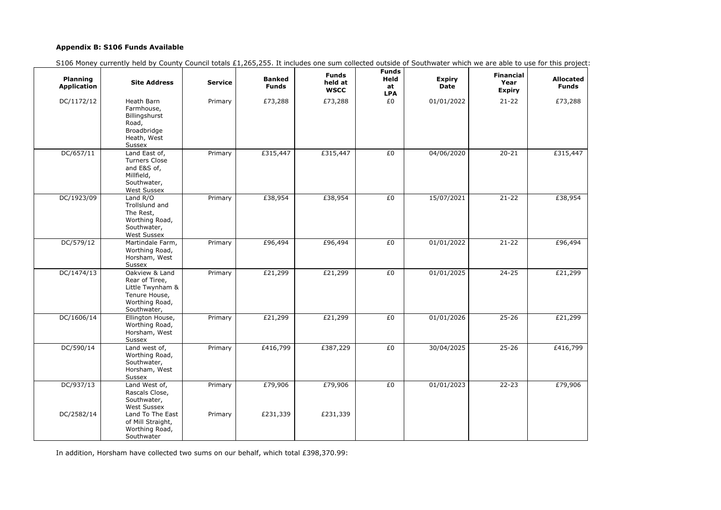## **Appendix B: S106 Funds Available**

S106 Money currently held by County Council totals £1,265,255. It includes one sum collected outside of Southwater which we are able to use for this project:

| or this project                  |
|----------------------------------|
| <b>Allocated</b><br><b>Funds</b> |
| £73,288                          |
|                                  |
| £315,447                         |
| £38,954                          |
| E96,494                          |
| £21,299                          |
| £21,299                          |
| E416,799                         |
| £79,906                          |

| <b>Planning</b><br><b>Application</b> | <b>Site Address</b>                                                                                     | <b>Service</b> | <b>Banked</b><br><b>Funds</b> | <b>Funds</b><br>held at<br><b>WSCC</b> | <b>Funds</b><br>Held<br>at<br><b>LPA</b> | <b>Expiry</b><br><b>Date</b> | <b>Financial</b><br>Year<br><b>Expiry</b> | <b>Allocated</b><br><b>Funds</b> |
|---------------------------------------|---------------------------------------------------------------------------------------------------------|----------------|-------------------------------|----------------------------------------|------------------------------------------|------------------------------|-------------------------------------------|----------------------------------|
| DC/1172/12                            | Heath Barn<br>Farmhouse,<br>Billingshurst<br>Road,<br>Broadbridge<br>Heath, West<br>Sussex              | Primary        | £73,288                       | £73,288                                | £0                                       | 01/01/2022                   | $21 - 22$                                 | £73,288                          |
| DC/657/11                             | Land East of,<br><b>Turners Close</b><br>and E&S of,<br>Millfield,<br>Southwater,<br><b>West Sussex</b> | Primary        | £315,447                      | £315,447                               | £0                                       | 04/06/2020                   | $20 - 21$                                 | £315,447                         |
| DC/1923/09                            | Land R/O<br>Trollslund and<br>The Rest,<br>Worthing Road,<br>Southwater,<br><b>West Sussex</b>          | Primary        | £38,954                       | £38,954                                | £0                                       | 15/07/2021                   | $21 - 22$                                 | £38,954                          |
| DC/579/12                             | Martindale Farm,<br>Worthing Road,<br>Horsham, West<br>Sussex                                           | Primary        | £96,494                       | £96,494                                | £0                                       | 01/01/2022                   | $21 - 22$                                 | £96,494                          |
| DC/1474/13                            | Oakview & Land<br>Rear of Tiree,<br>Little Twynham &<br>Tenure House,<br>Worthing Road,<br>Southwater,  | Primary        | £21,299                       | £21,299                                | £0                                       | 01/01/2025                   | $24 - 25$                                 | £21,299                          |
| DC/1606/14                            | Ellington House,<br>Worthing Road,<br>Horsham, West<br>Sussex                                           | Primary        | £21,299                       | £21,299                                | £0                                       | 01/01/2026                   | $25 - 26$                                 | £21,299                          |
| DC/590/14                             | Land west of,<br>Worthing Road,<br>Southwater,<br>Horsham, West<br>Sussex                               | Primary        | £416,799                      | £387,229                               | £0                                       | 30/04/2025                   | $25 - 26$                                 | £416,799                         |
| DC/937/13                             | Land West of,<br>Rascals Close,<br>Southwater,<br><b>West Sussex</b>                                    | Primary        | £79,906                       | £79,906                                | £0                                       | 01/01/2023                   | $22 - 23$                                 | £79,906                          |
| DC/2582/14                            | Land To The East<br>of Mill Straight,<br>Worthing Road,<br>Southwater                                   | Primary        | £231,339                      | £231,339                               |                                          |                              |                                           |                                  |

In addition, Horsham have collected two sums on our behalf, which total £398,370.99: